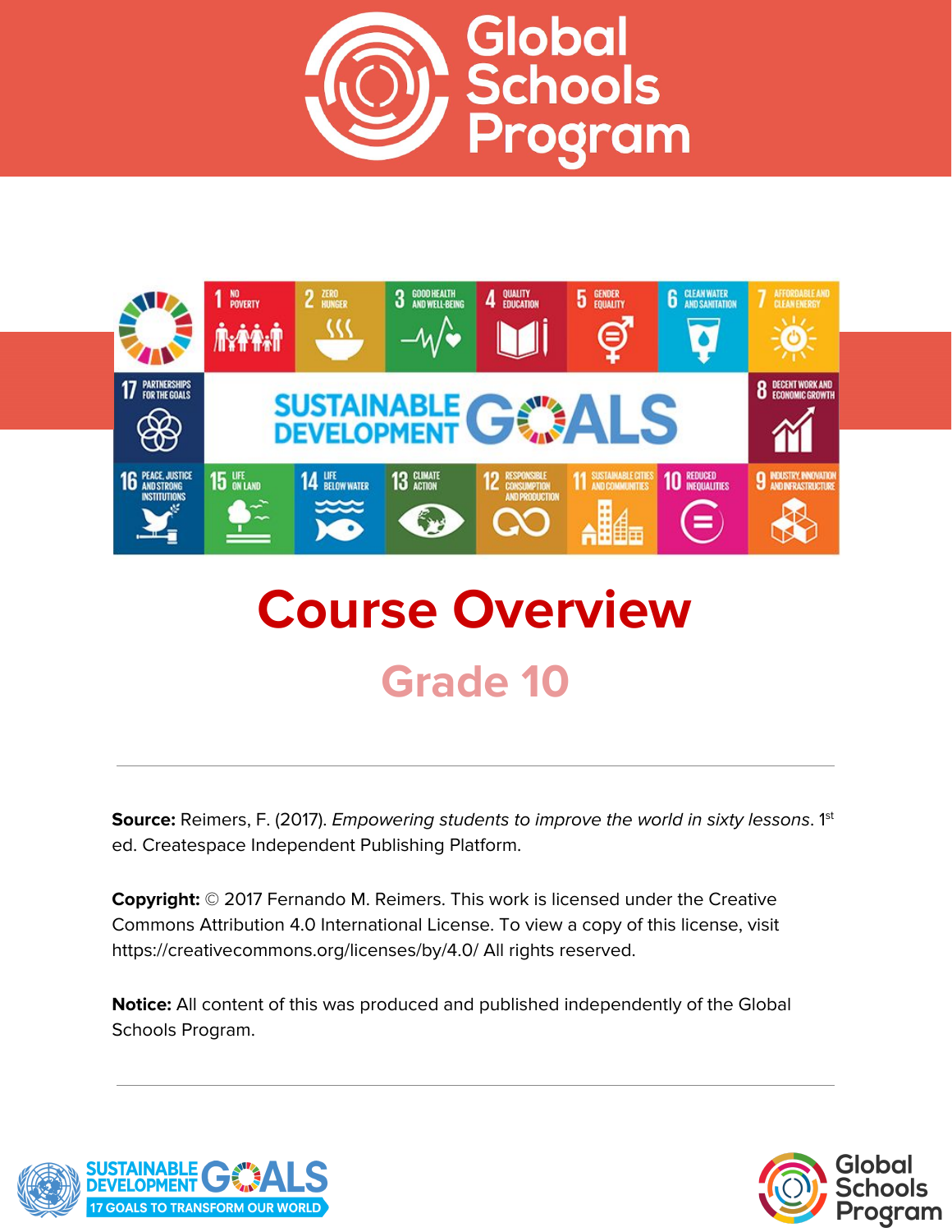



# **Course Overview Grade 10**

**Source:** Reimers, F. (2017). *Empowering students to improve the world in sixty lessons.* 1<sup>st</sup> ed. Createspace Independent Publishing Platform.

**Copyright:** © 2017 Fernando M. Reimers. This work is licensed under the Creative Commons Attribution 4.0 International License. To view a copy of this license, visit https://creativecommons.org/licenses/by/4.0/ All rights reserved.

**Notice:** All content of this was produced and published independently of the Global Schools Program.



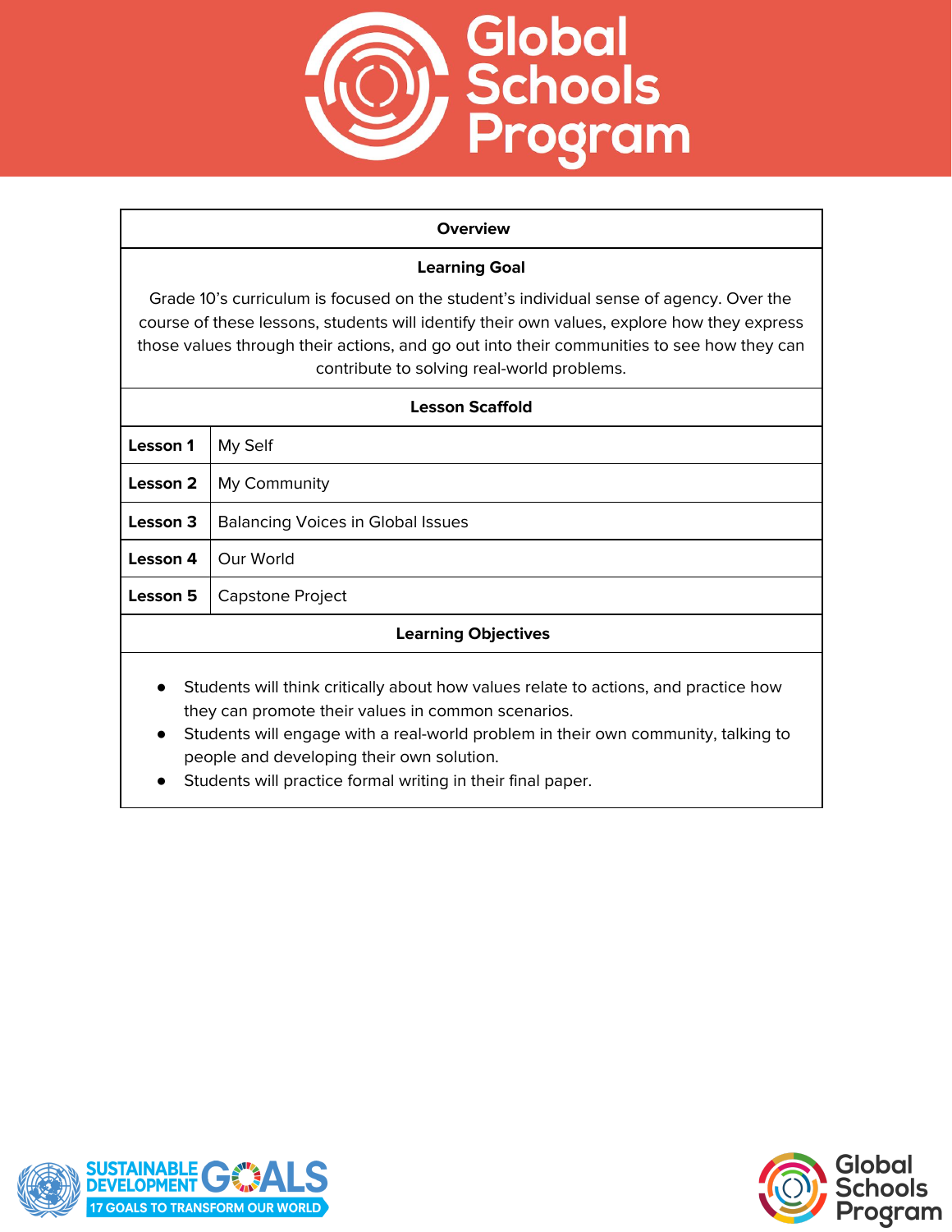

#### **Overview**

# **Learning Goal**

Grade 10's curriculum is focused on the student's individual sense of agency. Over the course of these lessons, students will identify their own values, explore how they express those values through their actions, and go out into their communities to see how they can contribute to solving real-world problems.

| <b>Lesson Scaffold</b>                                                                           |                                          |  |
|--------------------------------------------------------------------------------------------------|------------------------------------------|--|
| Lesson 1                                                                                         | My Self                                  |  |
| Lesson 2                                                                                         | My Community                             |  |
| Lesson 3                                                                                         | <b>Balancing Voices in Global Issues</b> |  |
| Lesson 4                                                                                         | Our World                                |  |
| Lesson 5                                                                                         | Capstone Project                         |  |
| <b>Learning Objectives</b>                                                                       |                                          |  |
| Students will think critically about how values relate to actions, and practice how<br>$\bullet$ |                                          |  |

- Students will think critically about how values relate to actions, and practice how they can promote their values in common scenarios.
- Students will engage with a real-world problem in their own community, talking to people and developing their own solution.
- Students will practice formal writing in their final paper.



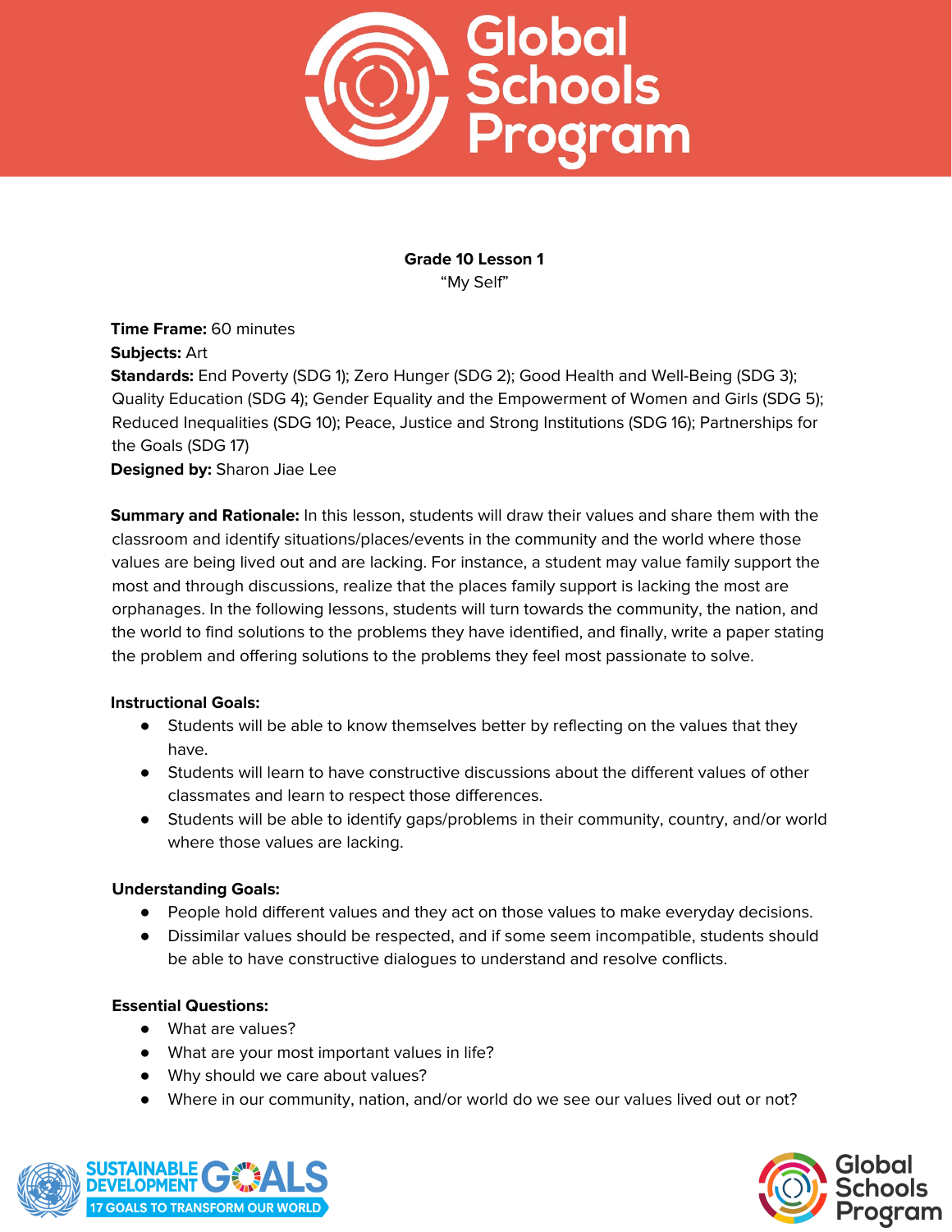

**Grade 10 Lesson 1** "My Self"

**Time Frame:** 60 minutes **Subjects:** Art

**Standards:** End Poverty (SDG 1); Zero Hunger (SDG 2); Good Health and Well-Being (SDG 3); Quality Education (SDG 4); Gender Equality and the Empowerment of Women and Girls (SDG 5); Reduced Inequalities (SDG 10); Peace, Justice and Strong Institutions (SDG 16); Partnerships for the Goals (SDG 17)

**Designed by:** Sharon Jiae Lee

**Summary and Rationale:** In this lesson, students will draw their values and share them with the classroom and identify situations/places/events in the community and the world where those values are being lived out and are lacking. For instance, a student may value family support the most and through discussions, realize that the places family support is lacking the most are orphanages. In the following lessons, students will turn towards the community, the nation, and the world to find solutions to the problems they have identified, and finally, write a paper stating the problem and offering solutions to the problems they feel most passionate to solve.

## **Instructional Goals:**

- **•** Students will be able to know themselves better by reflecting on the values that they have.
- Students will learn to have constructive discussions about the different values of other classmates and learn to respect those differences.
- Students will be able to identify gaps/problems in their community, country, and/or world where those values are lacking.

## **Understanding Goals:**

- People hold different values and they act on those values to make everyday decisions.
- Dissimilar values should be respected, and if some seem incompatible, students should be able to have constructive dialogues to understand and resolve conflicts.

## **Essential Questions:**

- What are values?
- What are your most important values in life?
- Why should we care about values?
- Where in our community, nation, and/or world do we see our values lived out or not?



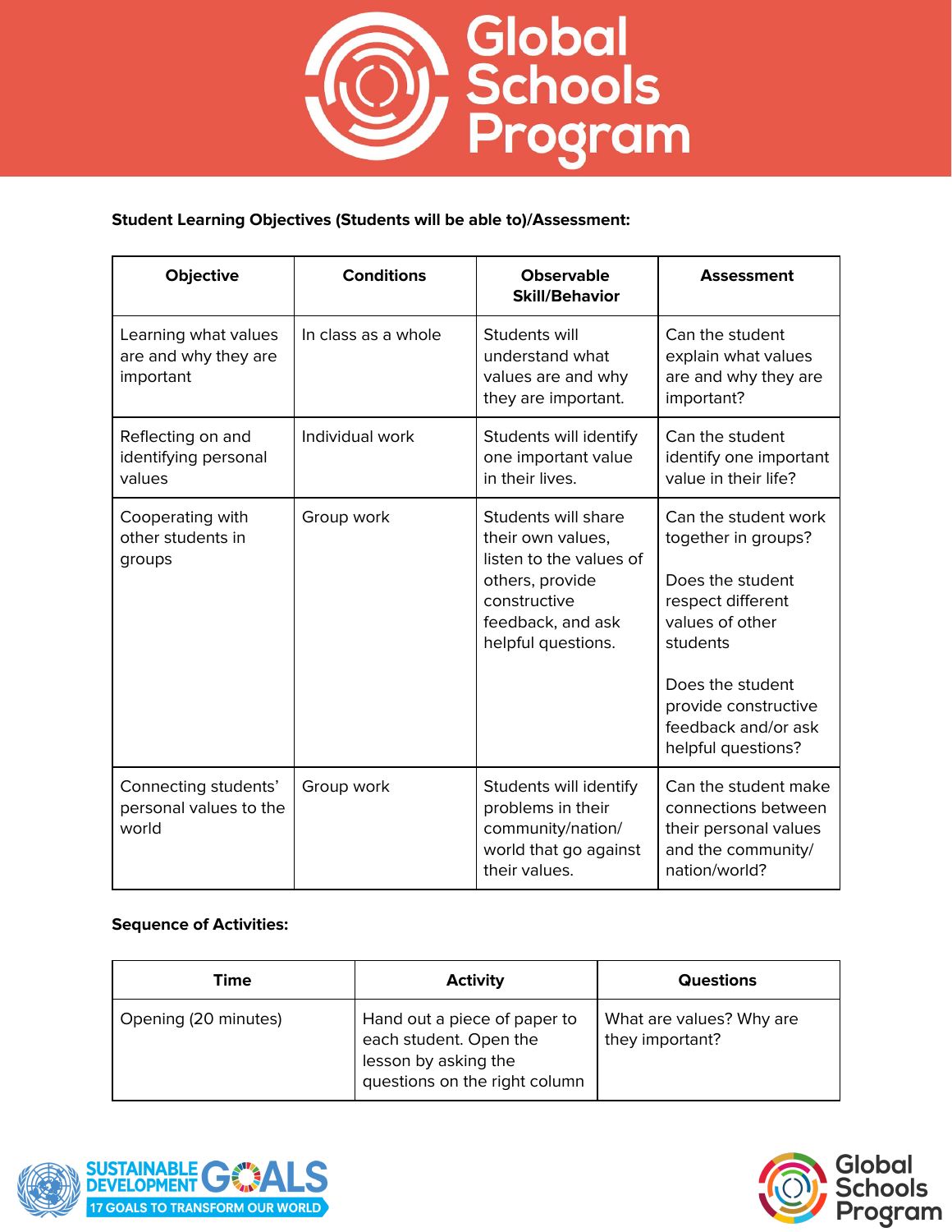

# **Student Learning Objectives (Students will be able to)/Assessment:**

| <b>Objective</b>                                          | <b>Conditions</b>   | <b>Observable</b><br><b>Skill/Behavior</b>                                                                                                        | <b>Assessment</b>                                                                                                                                                                                            |
|-----------------------------------------------------------|---------------------|---------------------------------------------------------------------------------------------------------------------------------------------------|--------------------------------------------------------------------------------------------------------------------------------------------------------------------------------------------------------------|
| Learning what values<br>are and why they are<br>important | In class as a whole | Students will<br>understand what<br>values are and why<br>they are important.                                                                     | Can the student<br>explain what values<br>are and why they are<br>important?                                                                                                                                 |
| Reflecting on and<br>identifying personal<br>values       | Individual work     | Students will identify<br>one important value<br>in their lives.                                                                                  | Can the student<br>identify one important<br>value in their life?                                                                                                                                            |
| Cooperating with<br>other students in<br>groups           | Group work          | Students will share<br>their own values,<br>listen to the values of<br>others, provide<br>constructive<br>feedback, and ask<br>helpful questions. | Can the student work<br>together in groups?<br>Does the student<br>respect different<br>values of other<br>students<br>Does the student<br>provide constructive<br>feedback and/or ask<br>helpful questions? |
| Connecting students'<br>personal values to the<br>world   | Group work          | Students will identify<br>problems in their<br>community/nation/<br>world that go against<br>their values.                                        | Can the student make<br>connections between<br>their personal values<br>and the community/<br>nation/world?                                                                                                  |

| Time                 | <b>Activity</b>                                                                                                 | <b>Questions</b>                            |
|----------------------|-----------------------------------------------------------------------------------------------------------------|---------------------------------------------|
| Opening (20 minutes) | Hand out a piece of paper to<br>each student. Open the<br>lesson by asking the<br>questions on the right column | What are values? Why are<br>they important? |



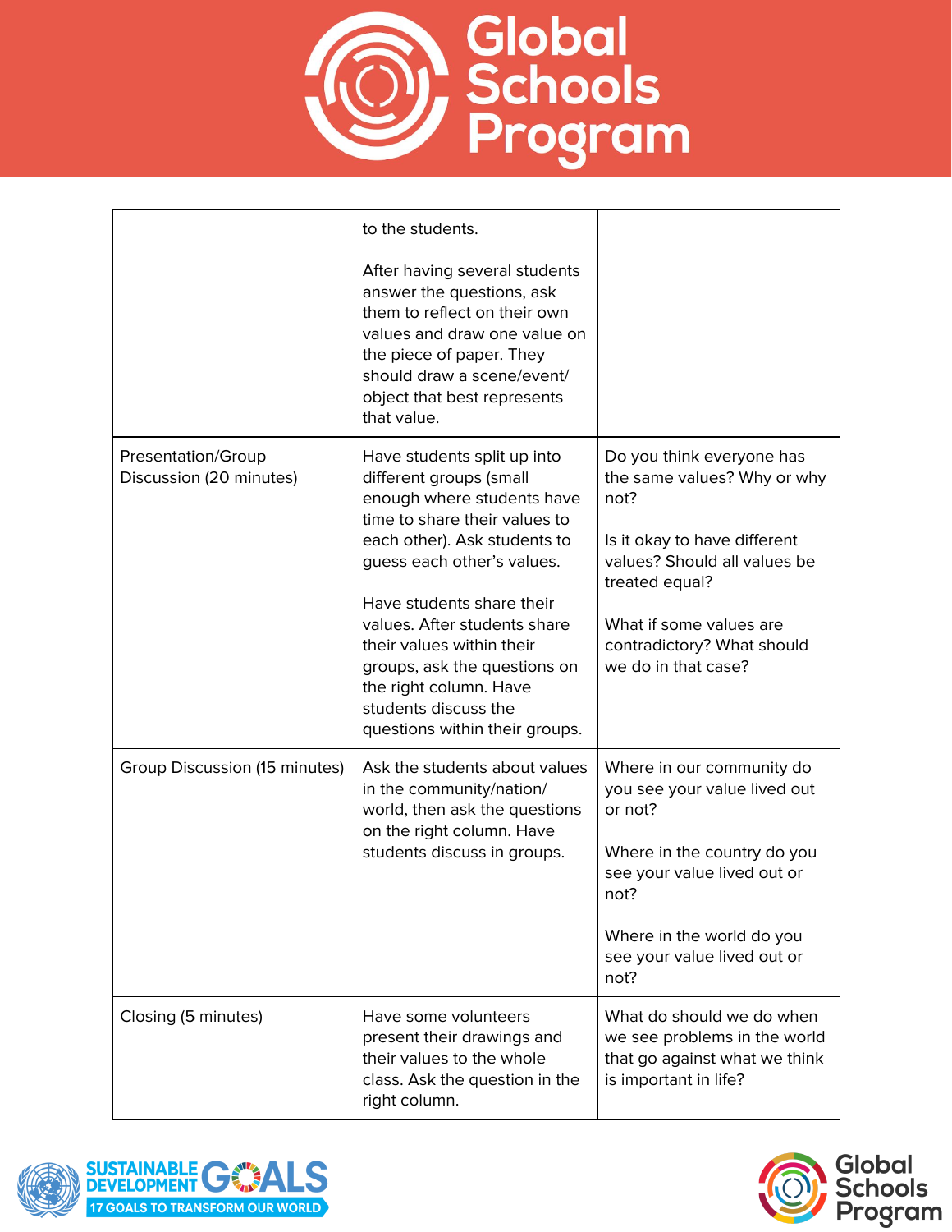

|                                               | to the students.<br>After having several students<br>answer the questions, ask<br>them to reflect on their own<br>values and draw one value on<br>the piece of paper. They<br>should draw a scene/event/<br>object that best represents<br>that value.                                                                                                                                            |                                                                                                                                                                                                                                    |
|-----------------------------------------------|---------------------------------------------------------------------------------------------------------------------------------------------------------------------------------------------------------------------------------------------------------------------------------------------------------------------------------------------------------------------------------------------------|------------------------------------------------------------------------------------------------------------------------------------------------------------------------------------------------------------------------------------|
| Presentation/Group<br>Discussion (20 minutes) | Have students split up into<br>different groups (small<br>enough where students have<br>time to share their values to<br>each other). Ask students to<br>guess each other's values.<br>Have students share their<br>values. After students share<br>their values within their<br>groups, ask the questions on<br>the right column. Have<br>students discuss the<br>questions within their groups. | Do you think everyone has<br>the same values? Why or why<br>not?<br>Is it okay to have different<br>values? Should all values be<br>treated equal?<br>What if some values are<br>contradictory? What should<br>we do in that case? |
| Group Discussion (15 minutes)                 | Ask the students about values<br>in the community/nation/<br>world, then ask the questions<br>on the right column. Have<br>students discuss in groups.                                                                                                                                                                                                                                            | Where in our community do<br>you see your value lived out<br>or not?<br>Where in the country do you<br>see your value lived out or<br>not?<br>Where in the world do you<br>see your value lived out or<br>not?                     |
| Closing (5 minutes)                           | Have some volunteers<br>present their drawings and<br>their values to the whole<br>class. Ask the question in the<br>right column.                                                                                                                                                                                                                                                                | What do should we do when<br>we see problems in the world<br>that go against what we think<br>is important in life?                                                                                                                |



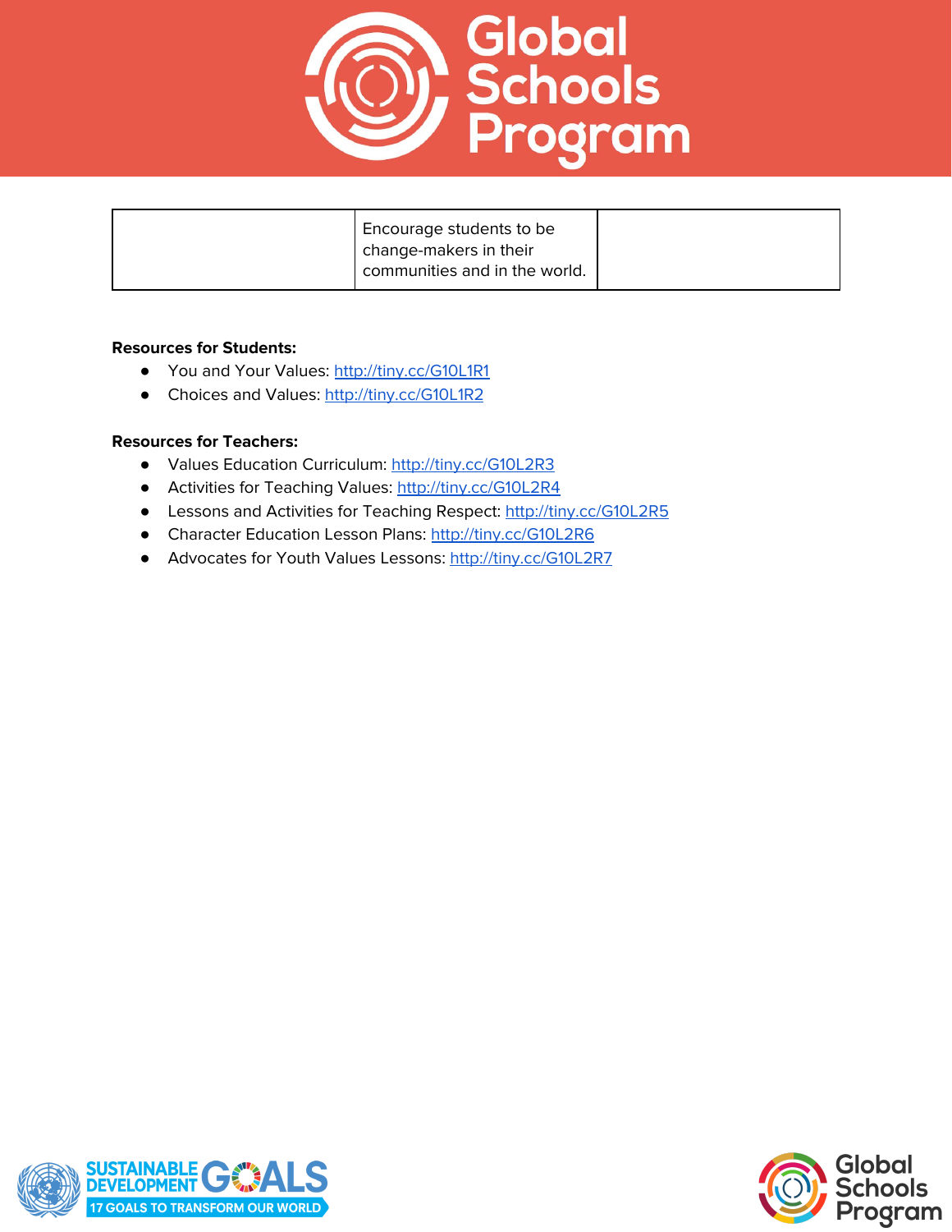

| Encourage students to be      |  |
|-------------------------------|--|
| change-makers in their        |  |
| communities and in the world. |  |

#### **Resources for Students:**

- You and Your Values: <http://tiny.cc/G10L1R1>
- Choices and Values: <http://tiny.cc/G10L1R2>

#### **Resources for Teachers:**

- **●** Values Education Curriculum: <http://tiny.cc/G10L2R3>
- **●** Activities for Teaching Values: <http://tiny.cc/G10L2R4>
- **●** Lessons and Activities for Teaching Respect: <http://tiny.cc/G10L2R5>
- **●** Character Education Lesson Plans: <http://tiny.cc/G10L2R6>
- **●** Advocates for Youth Values Lessons: <http://tiny.cc/G10L2R7>



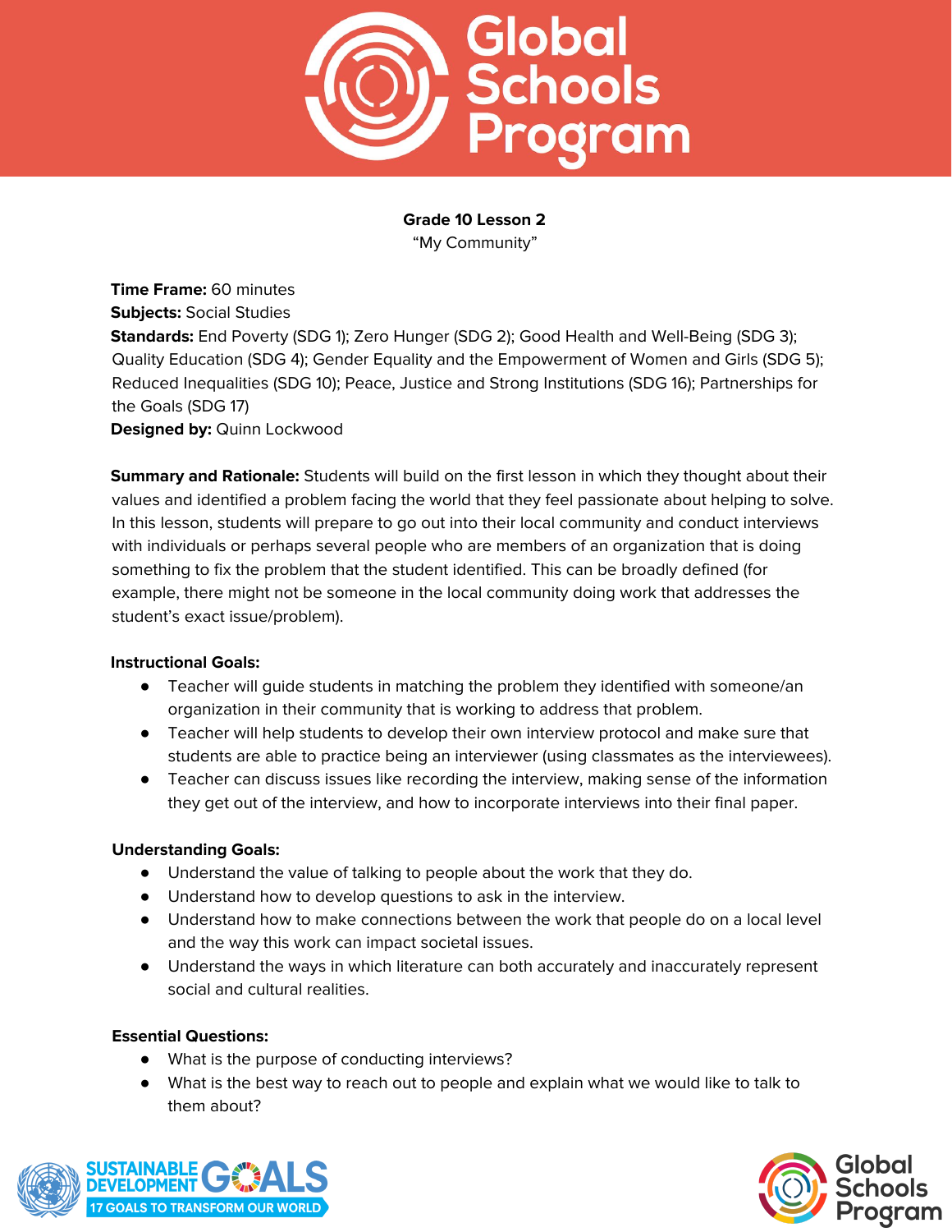

**Grade 10 Lesson 2** "My Community"

**Time Frame:** 60 minutes **Subjects:** Social Studies **Standards:** End Poverty (SDG 1); Zero Hunger (SDG 2); Good Health and Well-Being (SDG 3); Quality Education (SDG 4); Gender Equality and the Empowerment of Women and Girls (SDG 5); Reduced Inequalities (SDG 10); Peace, Justice and Strong Institutions (SDG 16); Partnerships for the Goals (SDG 17) **Designed by:** Quinn Lockwood

**Summary and Rationale:** Students will build on the first lesson in which they thought about their values and identified a problem facing the world that they feel passionate about helping to solve. In this lesson, students will prepare to go out into their local community and conduct interviews with individuals or perhaps several people who are members of an organization that is doing something to fix the problem that the student identified. This can be broadly defined (for example, there might not be someone in the local community doing work that addresses the student's exact issue/problem).

## **Instructional Goals:**

- Teacher will guide students in matching the problem they identified with someone/an organization in their community that is working to address that problem.
- Teacher will help students to develop their own interview protocol and make sure that students are able to practice being an interviewer (using classmates as the interviewees).
- Teacher can discuss issues like recording the interview, making sense of the information they get out of the interview, and how to incorporate interviews into their final paper.

#### **Understanding Goals:**

- Understand the value of talking to people about the work that they do.
- Understand how to develop questions to ask in the interview.
- Understand how to make connections between the work that people do on a local level and the way this work can impact societal issues.
- Understand the ways in which literature can both accurately and inaccurately represent social and cultural realities.

## **Essential Questions:**

- What is the purpose of conducting interviews?
- What is the best way to reach out to people and explain what we would like to talk to them about?



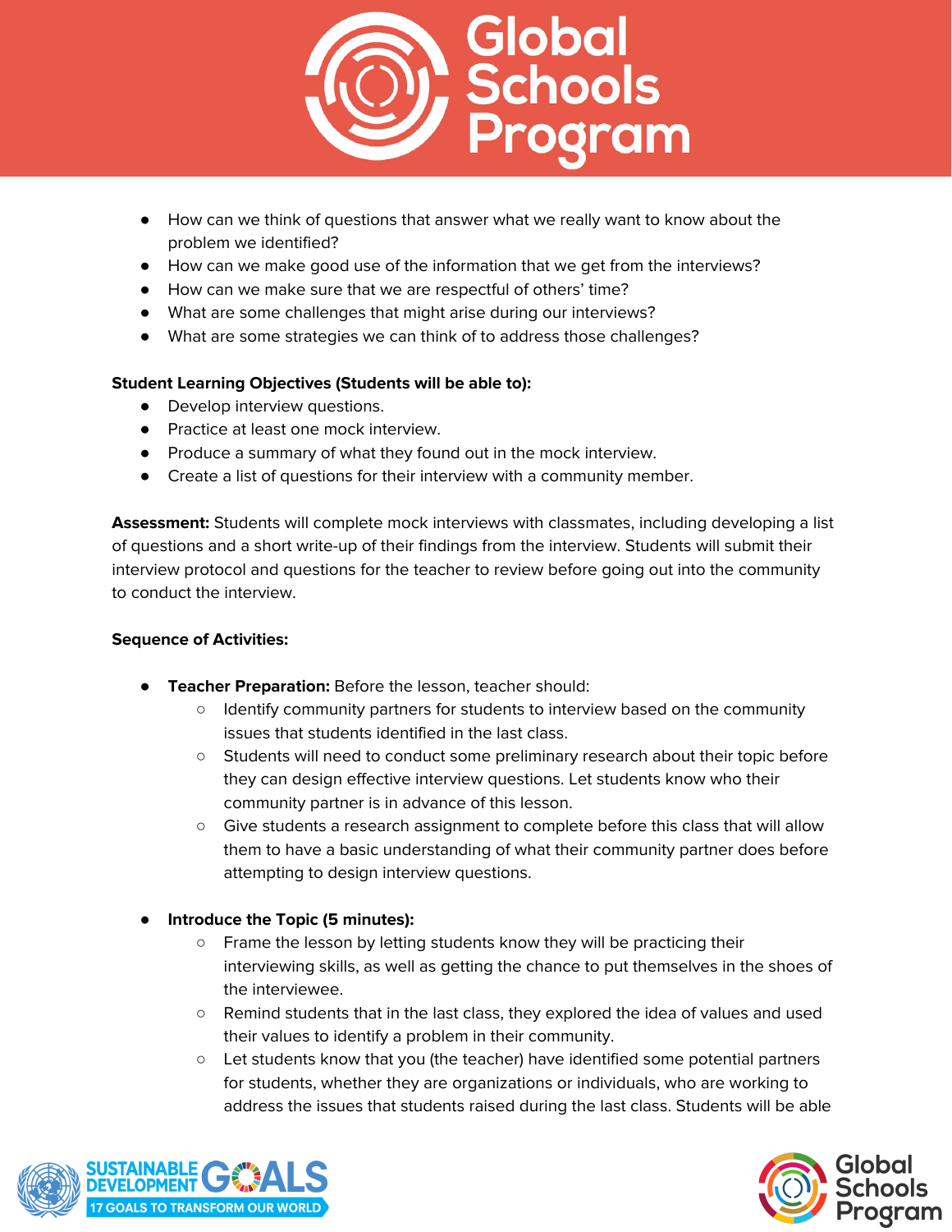

- How can we think of questions that answer what we really want to know about the problem we identified?
- How can we make good use of the information that we get from the interviews?
- How can we make sure that we are respectful of others' time?
- What are some challenges that might arise during our interviews?
- What are some strategies we can think of to address those challenges?

# **Student Learning Objectives (Students will be able to):**

- Develop interview questions.
- Practice at least one mock interview.
- Produce a summary of what they found out in the mock interview.
- Create a list of questions for their interview with a community member.

**Assessment:** Students will complete mock interviews with classmates, including developing a list of questions and a short write-up of their findings from the interview. Students will submit their interview protocol and questions for the teacher to review before going out into the community to conduct the interview.

- **Teacher Preparation:** Before the lesson, teacher should:
	- Identify community partners for students to interview based on the community issues that students identified in the last class.
	- Students will need to conduct some preliminary research about their topic before they can design effective interview questions. Let students know who their community partner is in advance of this lesson.
	- Give students a research assignment to complete before this class that will allow them to have a basic understanding of what their community partner does before attempting to design interview questions.
- **Introduce the Topic (5 minutes):**
	- Frame the lesson by letting students know they will be practicing their interviewing skills, as well as getting the chance to put themselves in the shoes of the interviewee.
	- Remind students that in the last class, they explored the idea of values and used their values to identify a problem in their community.
	- Let students know that you (the teacher) have identified some potential partners for students, whether they are organizations or individuals, who are working to address the issues that students raised during the last class. Students will be able



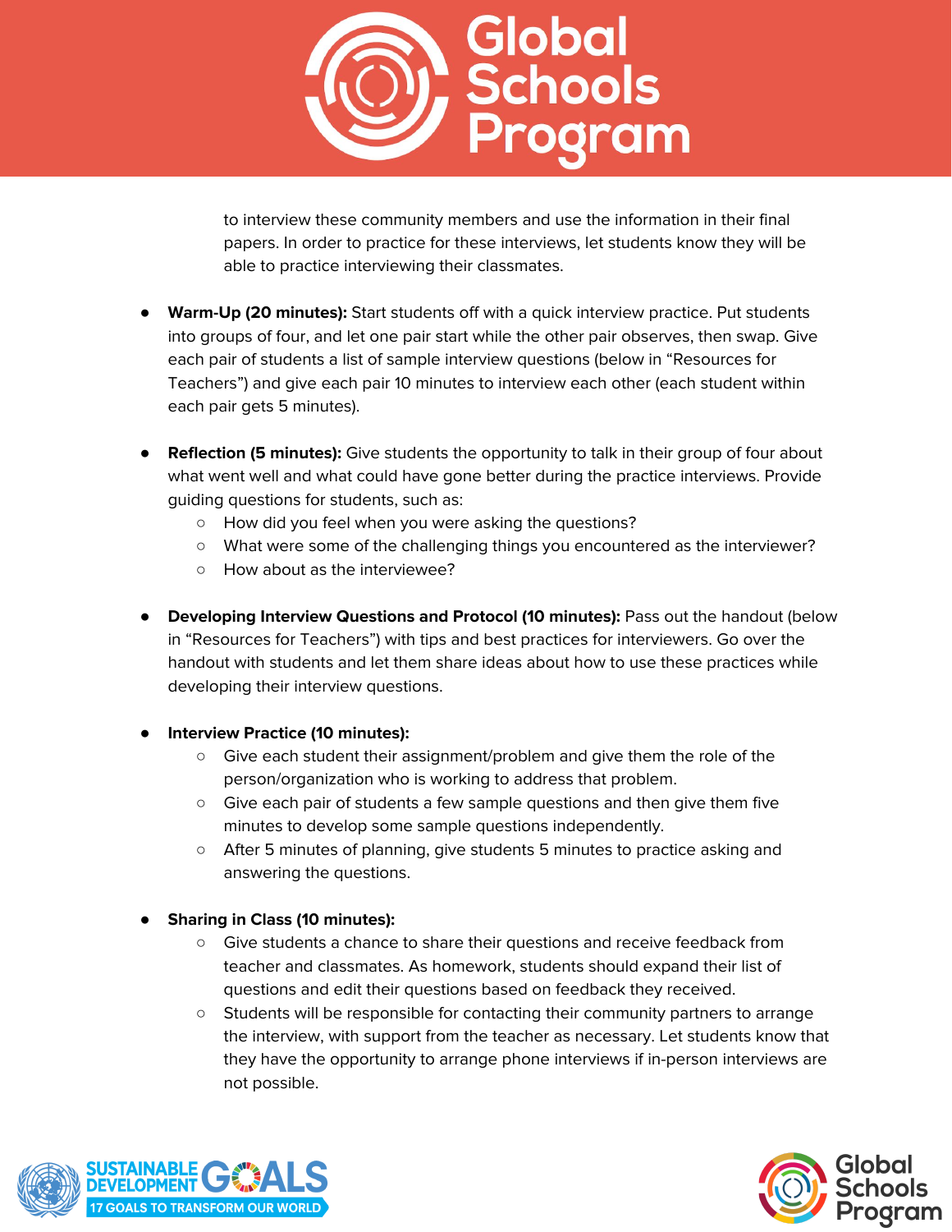

to interview these community members and use the information in their final papers. In order to practice for these interviews, let students know they will be able to practice interviewing their classmates.

- **Warm-Up (20 minutes):** Start students off with a quick interview practice. Put students into groups of four, and let one pair start while the other pair observes, then swap. Give each pair of students a list of sample interview questions (below in "Resources for Teachers") and give each pair 10 minutes to interview each other (each student within each pair gets 5 minutes).
- **Reflection (5 minutes):** Give students the opportunity to talk in their group of four about what went well and what could have gone better during the practice interviews. Provide guiding questions for students, such as:
	- How did you feel when you were asking the questions?
	- What were some of the challenging things you encountered as the interviewer?
	- How about as the interviewee?
- **Developing Interview Questions and Protocol (10 minutes):** Pass out the handout (below in "Resources for Teachers") with tips and best practices for interviewers. Go over the handout with students and let them share ideas about how to use these practices while developing their interview questions.

## ● **Interview Practice (10 minutes):**

- Give each student their assignment/problem and give them the role of the person/organization who is working to address that problem.
- Give each pair of students a few sample questions and then give them five minutes to develop some sample questions independently.
- After 5 minutes of planning, give students 5 minutes to practice asking and answering the questions.

# ● **Sharing in Class (10 minutes):**

- Give students a chance to share their questions and receive feedback from teacher and classmates. As homework, students should expand their list of questions and edit their questions based on feedback they received.
- Students will be responsible for contacting their community partners to arrange the interview, with support from the teacher as necessary. Let students know that they have the opportunity to arrange phone interviews if in-person interviews are not possible.



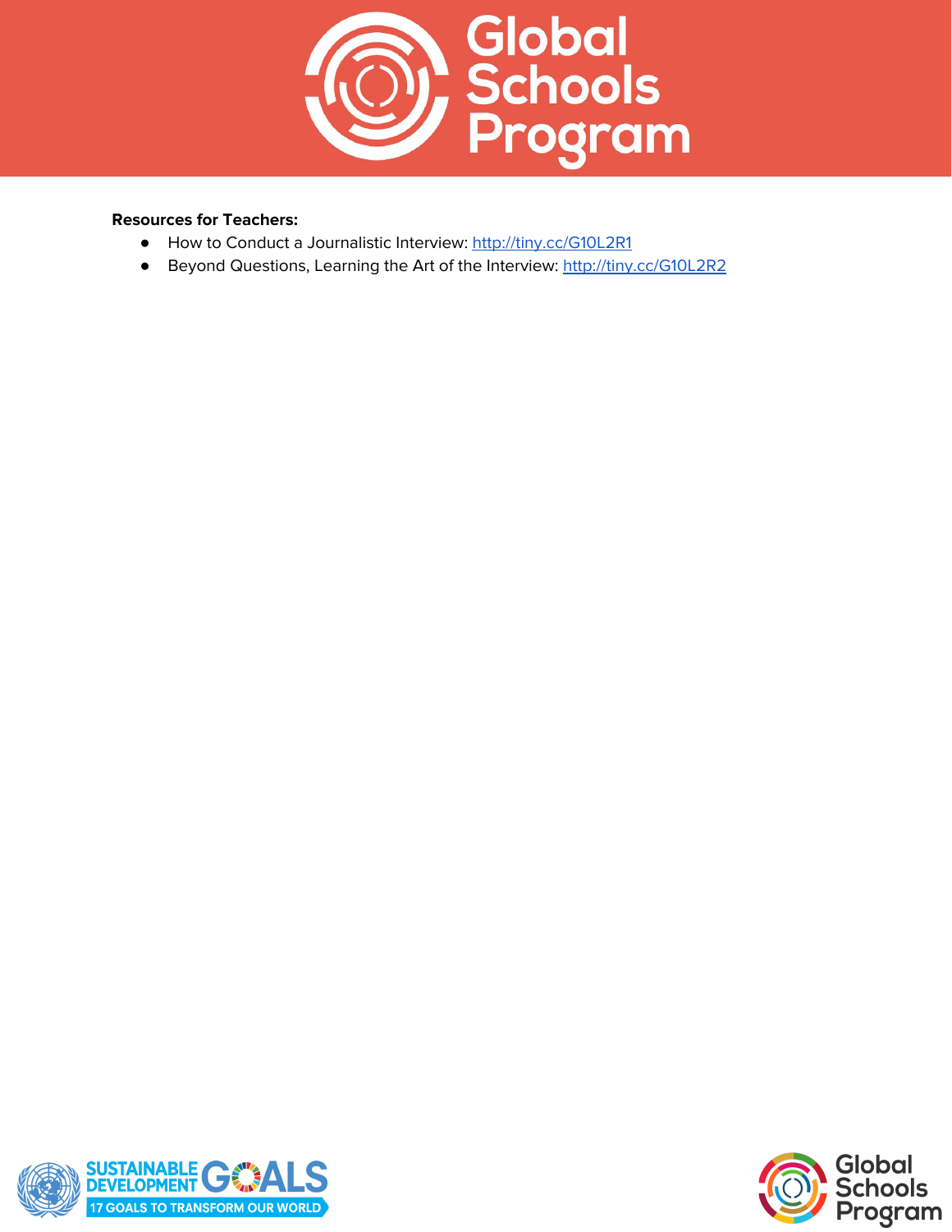

## **Resources for Teachers:**

- How to Conduct a Journalistic Interview: <http://tiny.cc/G10L2R1>
- Beyond Questions, Learning the Art of the Interview: <http://tiny.cc/G10L2R2>



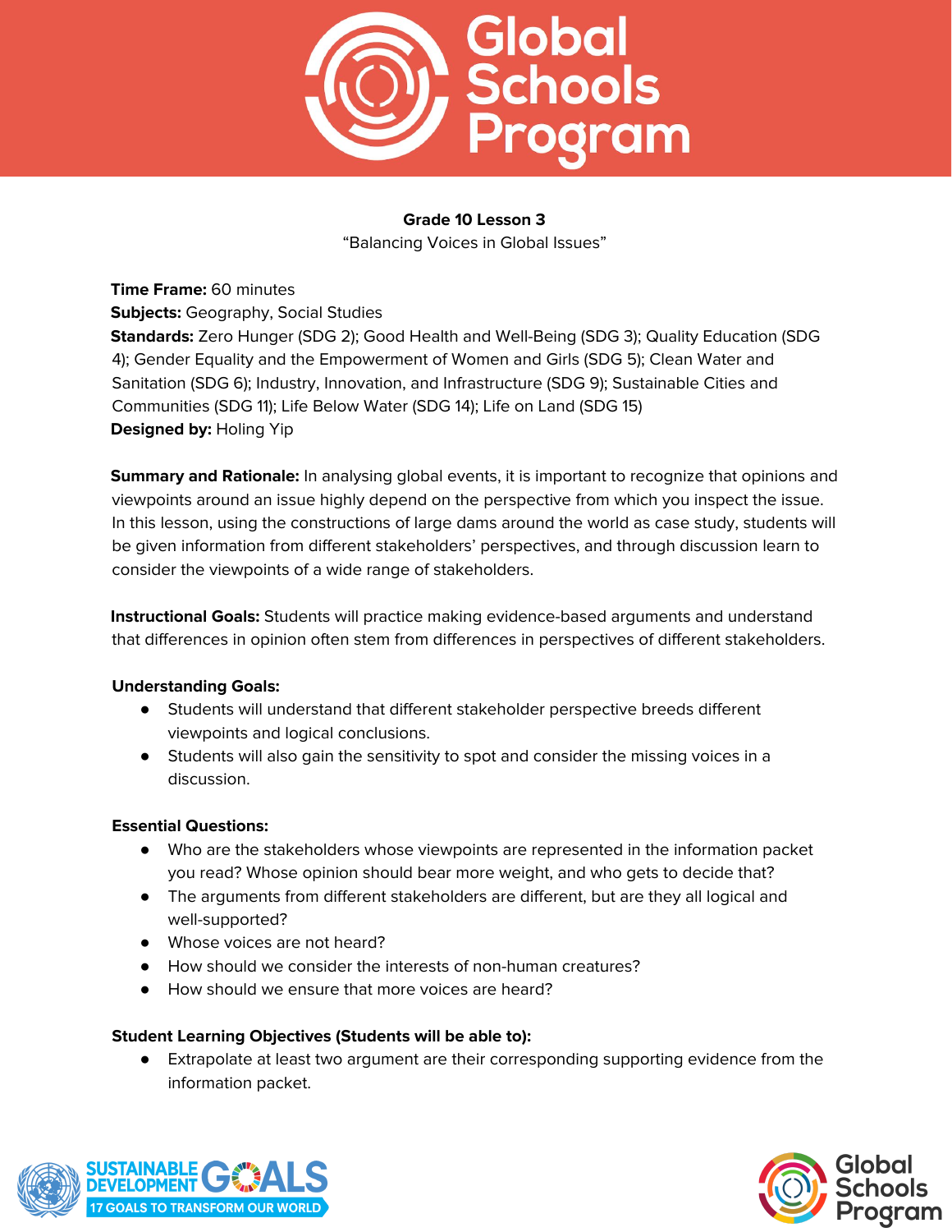

# **Grade 10 Lesson 3**

"Balancing Voices in Global Issues"

**Time Frame:** 60 minutes

**Subjects:** Geography, Social Studies

**Standards:** Zero Hunger (SDG 2); Good Health and Well-Being (SDG 3); Quality Education (SDG 4); Gender Equality and the Empowerment of Women and Girls (SDG 5); Clean Water and Sanitation (SDG 6); Industry, Innovation, and Infrastructure (SDG 9); Sustainable Cities and Communities (SDG 11); Life Below Water (SDG 14); Life on Land (SDG 15) **Designed by:** Holing Yip

**Summary and Rationale:** In analysing global events, it is important to recognize that opinions and viewpoints around an issue highly depend on the perspective from which you inspect the issue. In this lesson, using the constructions of large dams around the world as case study, students will be given information from different stakeholders' perspectives, and through discussion learn to consider the viewpoints of a wide range of stakeholders.

**Instructional Goals:** Students will practice making evidence-based arguments and understand that differences in opinion often stem from differences in perspectives of different stakeholders.

## **Understanding Goals:**

- Students will understand that different stakeholder perspective breeds different viewpoints and logical conclusions.
- Students will also gain the sensitivity to spot and consider the missing voices in a discussion.

## **Essential Questions:**

- Who are the stakeholders whose viewpoints are represented in the information packet you read? Whose opinion should bear more weight, and who gets to decide that?
- The arguments from different stakeholders are different, but are they all logical and well-supported?
- Whose voices are not heard?
- How should we consider the interests of non-human creatures?
- How should we ensure that more voices are heard?

# **Student Learning Objectives (Students will be able to):**

● Extrapolate at least two argument are their corresponding supporting evidence from the information packet.



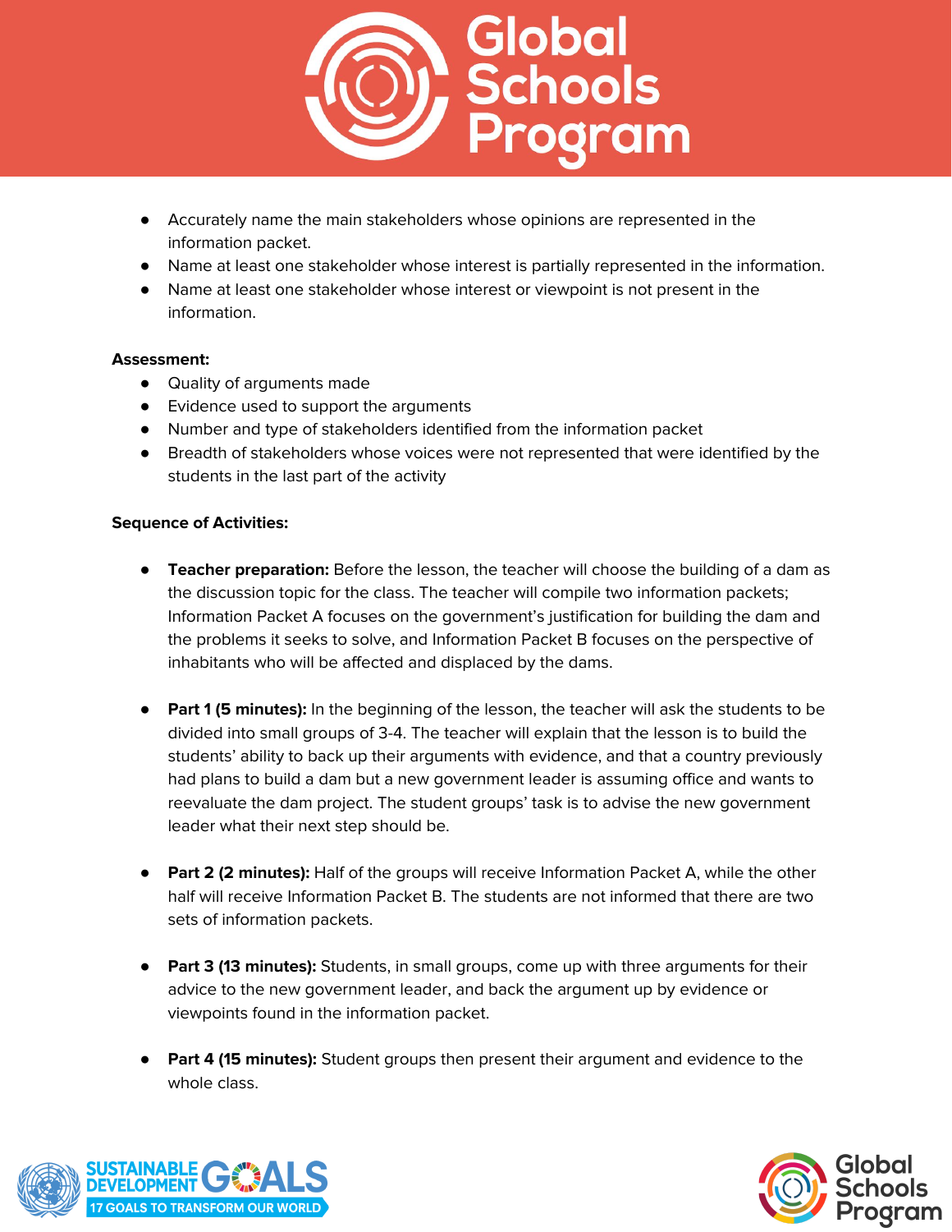

- Accurately name the main stakeholders whose opinions are represented in the information packet.
- Name at least one stakeholder whose interest is partially represented in the information.
- Name at least one stakeholder whose interest or viewpoint is not present in the information.

## **Assessment:**

- Quality of arguments made
- Evidence used to support the arguments
- Number and type of stakeholders identified from the information packet
- Breadth of stakeholders whose voices were not represented that were identified by the students in the last part of the activity

- **Teacher preparation:** Before the lesson, the teacher will choose the building of a dam as the discussion topic for the class. The teacher will compile two information packets; Information Packet A focuses on the government's justification for building the dam and the problems it seeks to solve, and Information Packet B focuses on the perspective of inhabitants who will be affected and displaced by the dams.
- **Part 1 (5 minutes):** In the beginning of the lesson, the teacher will ask the students to be divided into small groups of 3-4. The teacher will explain that the lesson is to build the students' ability to back up their arguments with evidence, and that a country previously had plans to build a dam but a new government leader is assuming office and wants to reevaluate the dam project. The student groups' task is to advise the new government leader what their next step should be.
- **Part 2 (2 minutes):** Half of the groups will receive Information Packet A, while the other half will receive Information Packet B. The students are not informed that there are two sets of information packets.
- **Part 3 (13 minutes):** Students, in small groups, come up with three arguments for their advice to the new government leader, and back the argument up by evidence or viewpoints found in the information packet.
- **Part 4 (15 minutes):** Student groups then present their argument and evidence to the whole class.



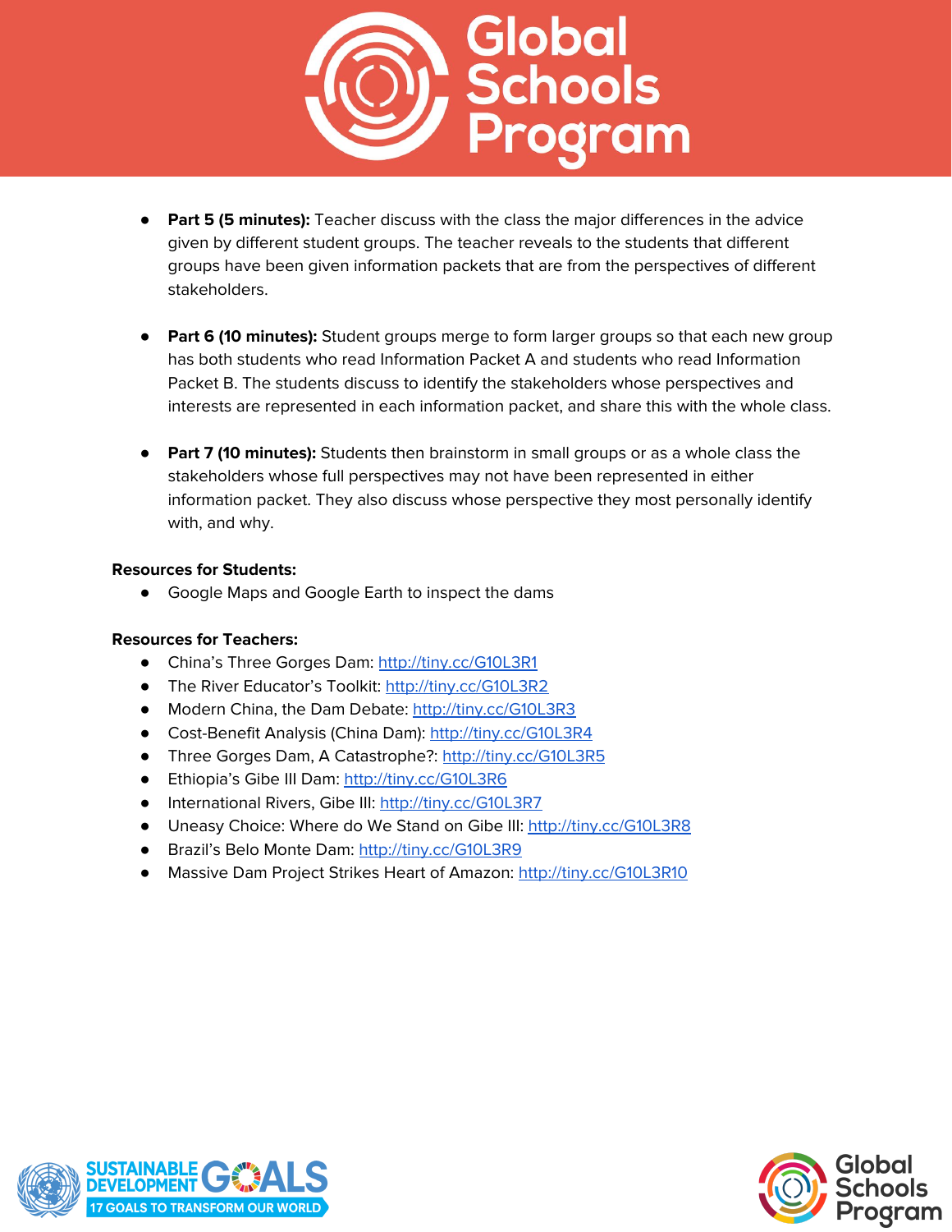

- **Part 5 (5 minutes):** Teacher discuss with the class the major differences in the advice given by different student groups. The teacher reveals to the students that different groups have been given information packets that are from the perspectives of different stakeholders.
- **Part 6 (10 minutes):** Student groups merge to form larger groups so that each new group has both students who read Information Packet A and students who read Information Packet B. The students discuss to identify the stakeholders whose perspectives and interests are represented in each information packet, and share this with the whole class.
- **Part 7 (10 minutes):** Students then brainstorm in small groups or as a whole class the stakeholders whose full perspectives may not have been represented in either information packet. They also discuss whose perspective they most personally identify with, and why.

#### **Resources for Students:**

● Google Maps and Google Earth to inspect the dams

## **Resources for Teachers:**

- China's Three Gorges Dam: <http://tiny.cc/G10L3R1>
- The River Educator's Toolkit: <http://tiny.cc/G10L3R2>
- Modern China, the Dam Debate: <http://tiny.cc/G10L3R3>
- Cost-Benefit Analysis (China Dam): <http://tiny.cc/G10L3R4>
- Three Gorges Dam, A Catastrophe?: <http://tiny.cc/G10L3R5>
- Ethiopia's Gibe III Dam: <http://tiny.cc/G10L3R6>
- International Rivers, Gibe III: <http://tiny.cc/G10L3R7>
- Uneasy Choice: Where do We Stand on Gibe III: <http://tiny.cc/G10L3R8>
- Brazil's Belo Monte Dam: <http://tiny.cc/G10L3R9>
- Massive Dam Project Strikes Heart of Amazon: <http://tiny.cc/G10L3R10>



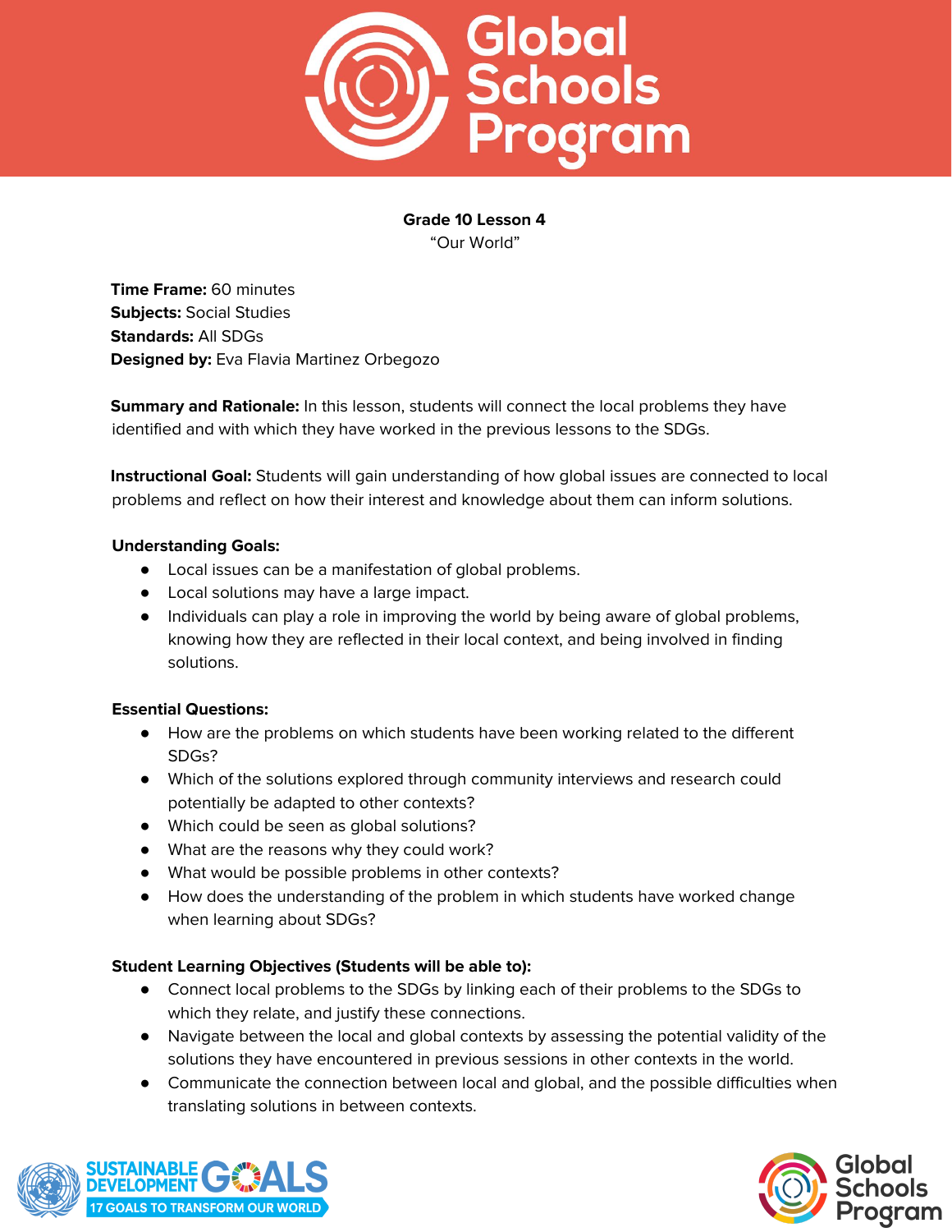

**Grade 10 Lesson 4** "Our World"

**Time Frame:** 60 minutes **Subjects:** Social Studies **Standards:** All SDGs **Designed by:** Eva Flavia Martinez Orbegozo

**Summary and Rationale:** In this lesson, students will connect the local problems they have identified and with which they have worked in the previous lessons to the SDGs.

**Instructional Goal:** Students will gain understanding of how global issues are connected to local problems and reflect on how their interest and knowledge about them can inform solutions.

## **Understanding Goals:**

- Local issues can be a manifestation of global problems.
- Local solutions may have a large impact.
- Individuals can play a role in improving the world by being aware of global problems, knowing how they are reflected in their local context, and being involved in finding solutions.

# **Essential Questions:**

- How are the problems on which students have been working related to the different SDGs?
- Which of the solutions explored through community interviews and research could potentially be adapted to other contexts?
- Which could be seen as global solutions?
- What are the reasons why they could work?
- What would be possible problems in other contexts?
- How does the understanding of the problem in which students have worked change when learning about SDGs?

# **Student Learning Objectives (Students will be able to):**

- Connect local problems to the SDGs by linking each of their problems to the SDGs to which they relate, and justify these connections.
- Navigate between the local and global contexts by assessing the potential validity of the solutions they have encountered in previous sessions in other contexts in the world.
- Communicate the connection between local and global, and the possible difficulties when translating solutions in between contexts.



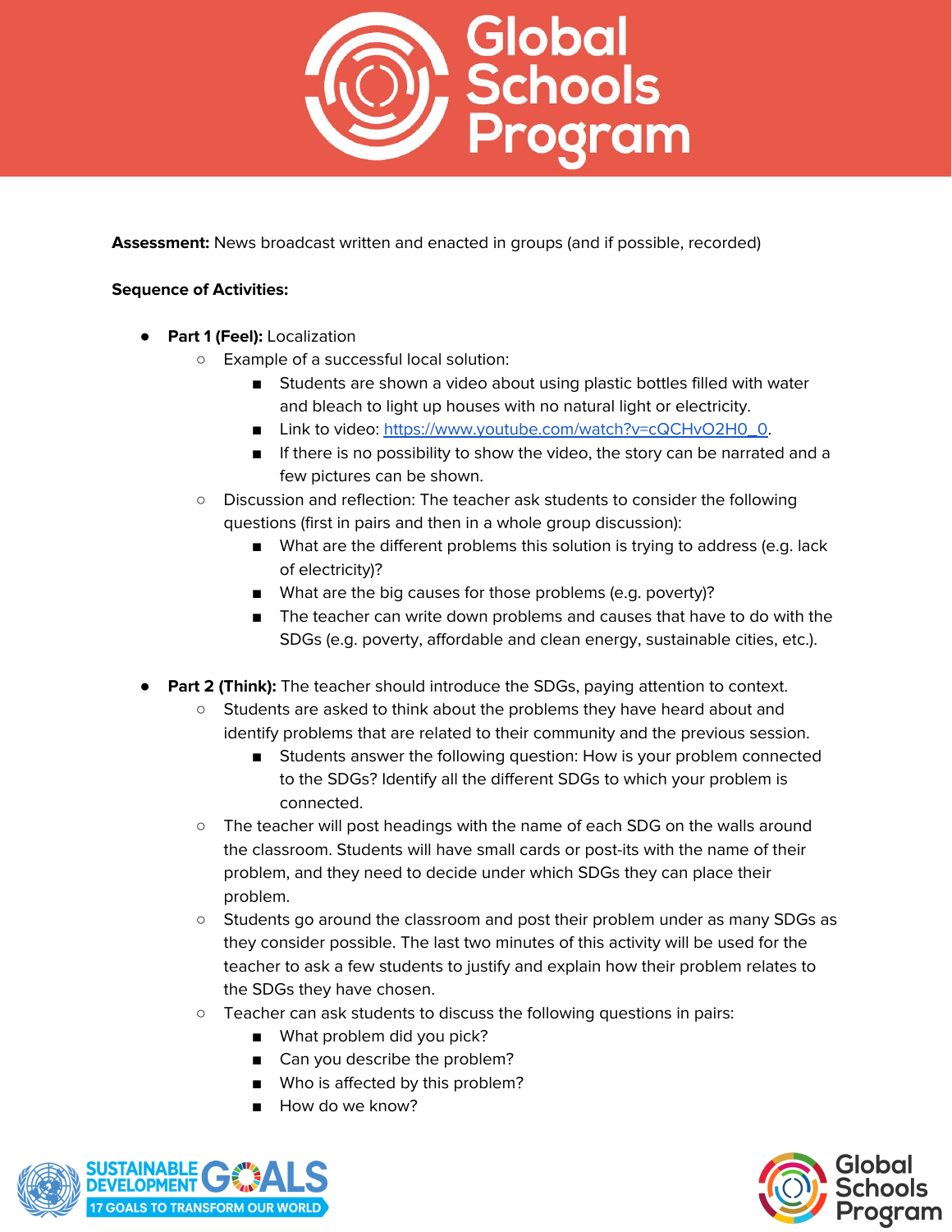

**Assessment:** News broadcast written and enacted in groups (and if possible, recorded)

- **● Part 1 (Feel):** Localization
	- Example of a successful local solution:
		- Students are shown a video about using plastic bottles filled with water and bleach to light up houses with no natural light or electricity.
		- Link to video: [https://www.youtube.com/watch?v=cQCHvO2H0\\_0](https://www.youtube.com/watch?v=cQCHvO2H0_0).
		- If there is no possibility to show the video, the story can be narrated and a few pictures can be shown.
	- Discussion and reflection: The teacher ask students to consider the following questions (first in pairs and then in a whole group discussion):
		- What are the different problems this solution is trying to address (e.g. lack of electricity)?
		- What are the big causes for those problems (e.g. poverty)?
		- The teacher can write down problems and causes that have to do with the SDGs (e.g. poverty, affordable and clean energy, sustainable cities, etc.).
- **● Part 2 (Think):** The teacher should introduce the SDGs, paying attention to context.
	- Students are asked to think about the problems they have heard about and identify problems that are related to their community and the previous session.
		- Students answer the following question: How is your problem connected to the SDGs? Identify all the different SDGs to which your problem is connected.
	- The teacher will post headings with the name of each SDG on the walls around the classroom. Students will have small cards or post-its with the name of their problem, and they need to decide under which SDGs they can place their problem.
	- Students go around the classroom and post their problem under as many SDGs as they consider possible. The last two minutes of this activity will be used for the teacher to ask a few students to justify and explain how their problem relates to the SDGs they have chosen.
	- Teacher can ask students to discuss the following questions in pairs:
		- What problem did you pick?
		- Can you describe the problem?
		- Who is affected by this problem?
		- How do we know?



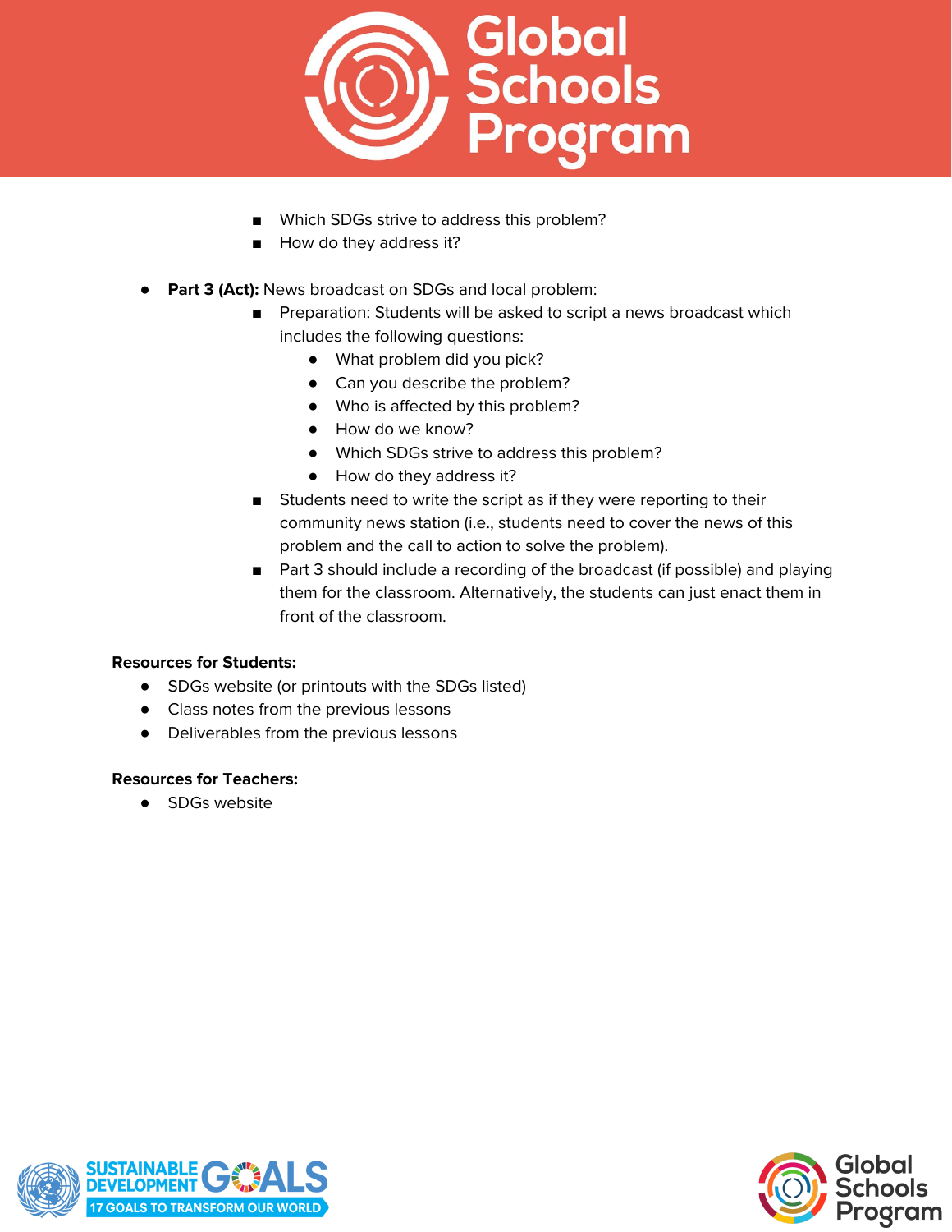

- Which SDGs strive to address this problem?
- How do they address it?
- **Part 3 (Act):** News broadcast on SDGs and local problem:
	- Preparation: Students will be asked to script a news broadcast which includes the following questions:
		- What problem did you pick?
		- Can you describe the problem?
		- Who is affected by this problem?
		- How do we know?
		- Which SDGs strive to address this problem?
		- How do they address it?
	- Students need to write the script as if they were reporting to their community news station (i.e., students need to cover the news of this problem and the call to action to solve the problem).
	- Part 3 should include a recording of the broadcast (if possible) and playing them for the classroom. Alternatively, the students can just enact them in front of the classroom.

## **Resources for Students:**

- SDGs website (or printouts with the SDGs listed)
- Class notes from the previous lessons
- Deliverables from the previous lessons

#### **Resources for Teachers:**

● SDGs website



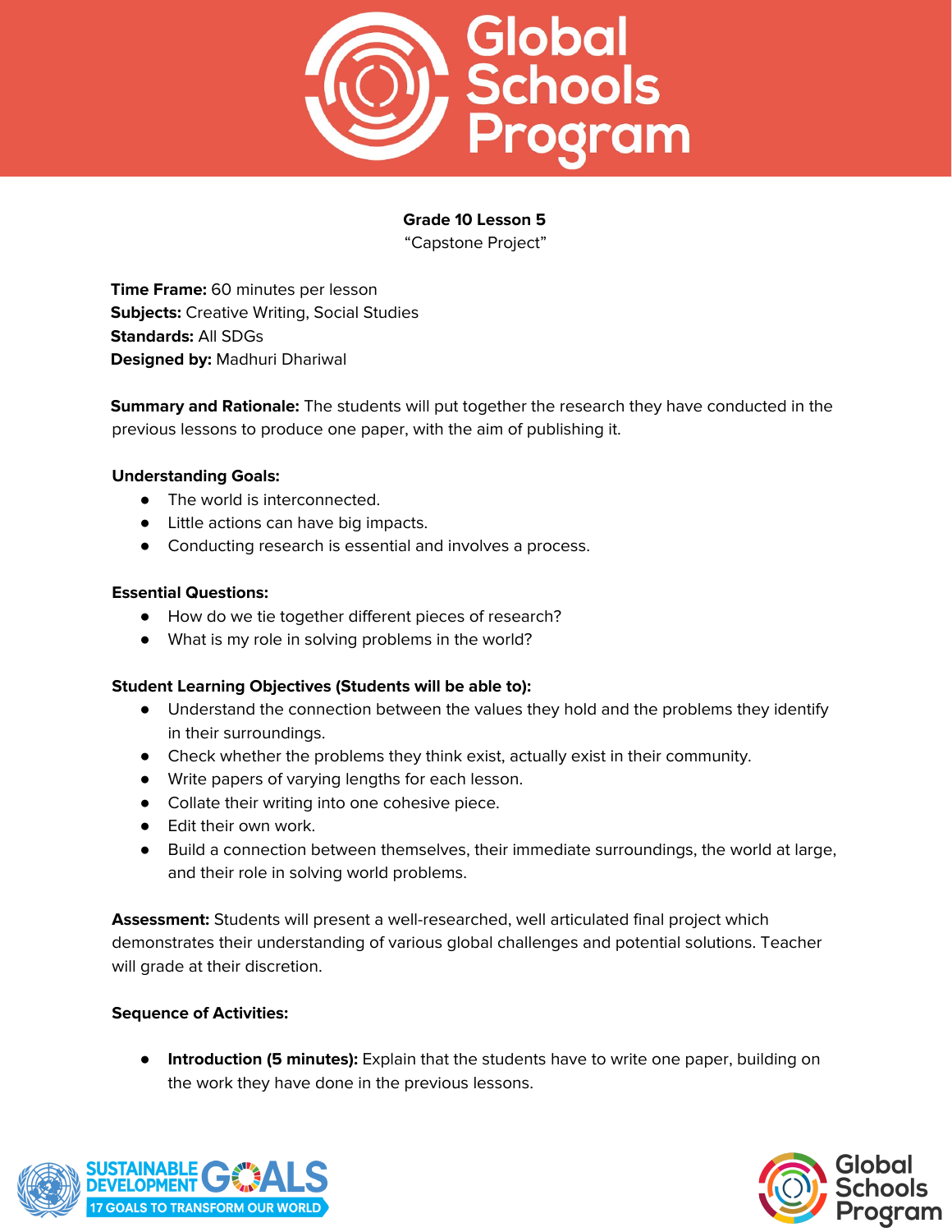

# **Grade 10 Lesson 5**

"Capstone Project"

**Time Frame:** 60 minutes per lesson **Subjects:** Creative Writing, Social Studies **Standards:** All SDGs **Designed by:** Madhuri Dhariwal

**Summary and Rationale:** The students will put together the research they have conducted in the previous lessons to produce one paper, with the aim of publishing it.

## **Understanding Goals:**

- The world is interconnected.
- Little actions can have big impacts.
- Conducting research is essential and involves a process.

#### **Essential Questions:**

- How do we tie together different pieces of research?
- What is my role in solving problems in the world?

#### **Student Learning Objectives (Students will be able to):**

- Understand the connection between the values they hold and the problems they identify in their surroundings.
- Check whether the problems they think exist, actually exist in their community.
- Write papers of varying lengths for each lesson.
- Collate their writing into one cohesive piece.
- Edit their own work.
- Build a connection between themselves, their immediate surroundings, the world at large, and their role in solving world problems.

**Assessment:** Students will present a well-researched, well articulated final project which demonstrates their understanding of various global challenges and potential solutions. Teacher will grade at their discretion.

#### **Sequence of Activities:**

● **Introduction (5 minutes):** Explain that the students have to write one paper, building on the work they have done in the previous lessons.